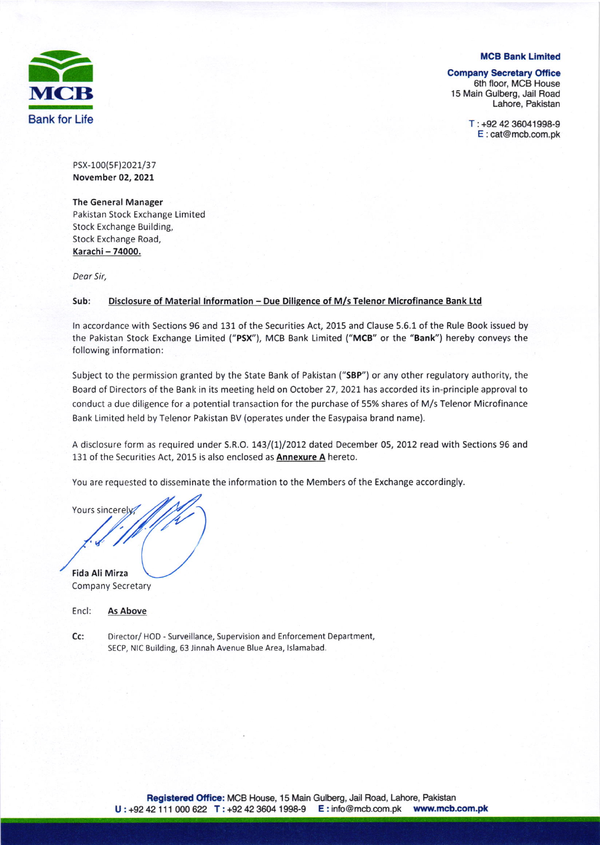

MCB Bank Limited

#### **Company Secretary Office**

6th floor, MCB House 15 Main Gulberg, Jail Road Lahore, Pakistan

E :cat@mcb.com.pk

PSX-100(5F)2021/37 November 02, 2021

The General Manager

Pakistan Stock Exchange Limited Stock Exchange Building, Stock Exchange Road, Karachi - 74000.

Deor Sir,

### Sub: Disclosure of Material Information - Due Diligence of M/s Telenor Microfinance Bank Ltd

ln accordance with Sections 96 and 131 of the Securities Act, 2015 and Clause 5.6.L of the Rule Book issued by the Pakistan Stock Exchange Limited ("PSX"), MCB Bank Limited ("MCB" or the "Bank") hereby conveys the following information:

Subject to the permission granted by the State Bank of Pakistan ("sBP") or any other regulatory authority, the Board of Directors of the Bank in its meeting held on October 27, 2021 has accorded its in-principle approval to conduct a due diligence for a potential transaction for the purchase of 55% shares of M/s Telenor Microfinance Bank Limited held by Telenor Pakistan BV (operates under the Easypaisa brand name).

A disclosure form as required under S.R.O. 143/(1)/2012 dated December 05, 2012 read with Sections 96 and 131 of the Securities Act, 2015 is also enclosed as **Annexure A** hereto.

You are requested to disseminate the information to the Members of the Exchange accordingly.

Yours sincerely Fida Ali Mirza

Company Secretary

| Encl: | As Above |
|-------|----------|
|       |          |

Director/ HOD - Surveillance, Supervision and Enforcement Department, SECP, NIC Suilding, 63 Jinnah Avenue Blue Area, lslamabad. Cc;